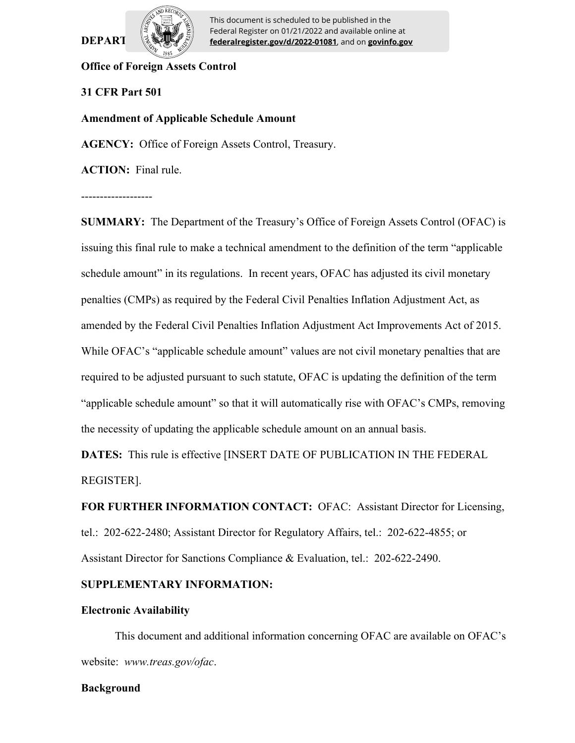

**DEPART**  $\frac{1}{2}$  **federalregister.gov/d/2022-01081**, and on **govinfo.gov** This document is scheduled to be published in the Federal Register on 01/21/2022 and available online at

## **Office of Foreign Assets Control**

## **31 CFR Part 501**

### **Amendment of Applicable Schedule Amount**

**AGENCY:** Office of Foreign Assets Control, Treasury.

**ACTION:** Final rule.

-------------------

**SUMMARY:** The Department of the Treasury's Office of Foreign Assets Control (OFAC) is issuing this final rule to make a technical amendment to the definition of the term "applicable schedule amount" in its regulations. In recent years, OFAC has adjusted its civil monetary penalties (CMPs) as required by the Federal Civil Penalties Inflation Adjustment Act, as amended by the Federal Civil Penalties Inflation Adjustment Act Improvements Act of 2015. While OFAC's "applicable schedule amount" values are not civil monetary penalties that are required to be adjusted pursuant to such statute, OFAC is updating the definition of the term "applicable schedule amount" so that it will automatically rise with OFAC's CMPs, removing the necessity of updating the applicable schedule amount on an annual basis.

**DATES:** This rule is effective [INSERT DATE OF PUBLICATION IN THE FEDERAL REGISTER].

**FOR FURTHER INFORMATION CONTACT:** OFAC: Assistant Director for Licensing, tel.: 202-622-2480; Assistant Director for Regulatory Affairs, tel.: 202-622-4855; or Assistant Director for Sanctions Compliance & Evaluation, tel.: 202-622-2490.

### **SUPPLEMENTARY INFORMATION:**

### **Electronic Availability**

This document and additional information concerning OFAC are available on OFAC's website: *www.treas.gov/ofac*.

### **Background**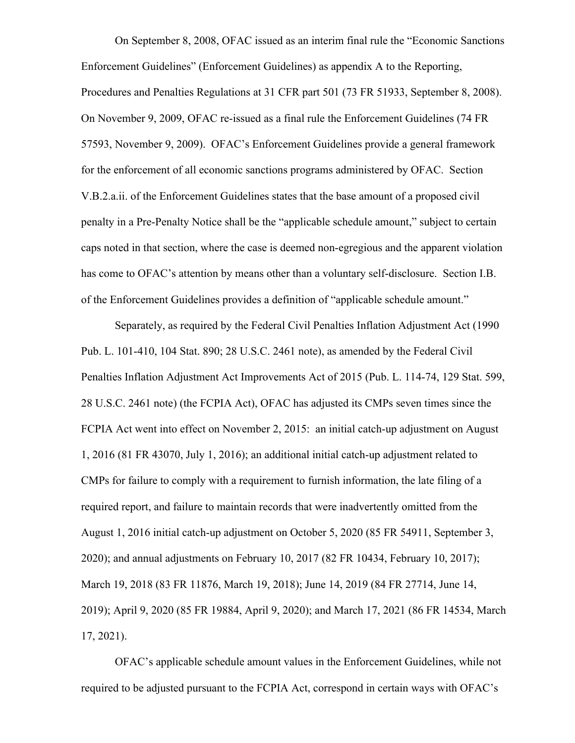On September 8, 2008, OFAC issued as an interim final rule the "Economic Sanctions Enforcement Guidelines" (Enforcement Guidelines) as appendix A to the Reporting, Procedures and Penalties Regulations at 31 CFR part 501 (73 FR 51933, September 8, 2008). On November 9, 2009, OFAC re-issued as a final rule the Enforcement Guidelines (74 FR 57593, November 9, 2009). OFAC's Enforcement Guidelines provide a general framework for the enforcement of all economic sanctions programs administered by OFAC. Section V.B.2.a.ii. of the Enforcement Guidelines states that the base amount of a proposed civil penalty in a Pre-Penalty Notice shall be the "applicable schedule amount," subject to certain caps noted in that section, where the case is deemed non-egregious and the apparent violation has come to OFAC's attention by means other than a voluntary self-disclosure. Section I.B. of the Enforcement Guidelines provides a definition of "applicable schedule amount."

Separately, as required by the Federal Civil Penalties Inflation Adjustment Act (1990 Pub. L. 101-410, 104 Stat. 890; 28 U.S.C. 2461 note), as amended by the Federal Civil Penalties Inflation Adjustment Act Improvements Act of 2015 (Pub. L. 114-74, 129 Stat. 599, 28 U.S.C. 2461 note) (the FCPIA Act), OFAC has adjusted its CMPs seven times since the FCPIA Act went into effect on November 2, 2015: an initial catch-up adjustment on August 1, 2016 (81 FR 43070, July 1, 2016); an additional initial catch-up adjustment related to CMPs for failure to comply with a requirement to furnish information, the late filing of a required report, and failure to maintain records that were inadvertently omitted from the August 1, 2016 initial catch-up adjustment on October 5, 2020 (85 FR 54911, September 3, 2020); and annual adjustments on February 10, 2017 (82 FR 10434, February 10, 2017); March 19, 2018 (83 FR 11876, March 19, 2018); June 14, 2019 (84 FR 27714, June 14, 2019); April 9, 2020 (85 FR 19884, April 9, 2020); and March 17, 2021 (86 FR 14534, March 17, 2021).

OFAC's applicable schedule amount values in the Enforcement Guidelines, while not required to be adjusted pursuant to the FCPIA Act, correspond in certain ways with OFAC's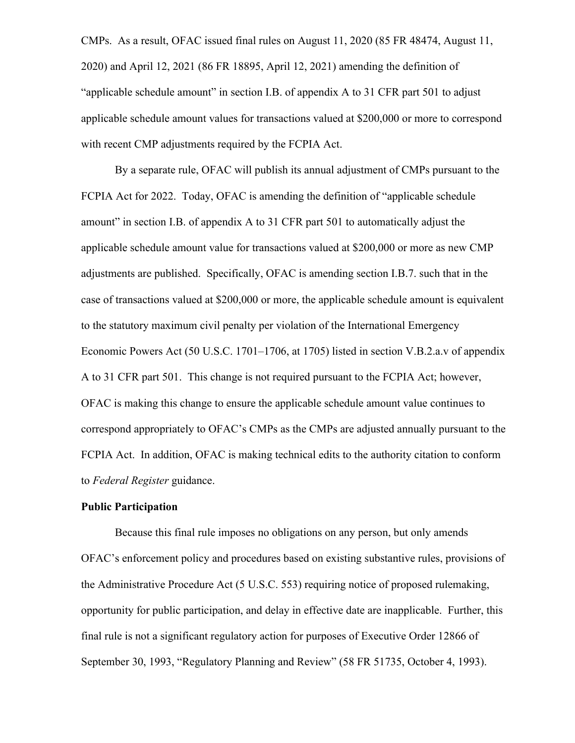CMPs. As a result, OFAC issued final rules on August 11, 2020 (85 FR 48474, August 11, 2020) and April 12, 2021 (86 FR 18895, April 12, 2021) amending the definition of "applicable schedule amount" in section I.B. of appendix A to 31 CFR part 501 to adjust applicable schedule amount values for transactions valued at \$200,000 or more to correspond with recent CMP adjustments required by the FCPIA Act.

By a separate rule, OFAC will publish its annual adjustment of CMPs pursuant to the FCPIA Act for 2022. Today, OFAC is amending the definition of "applicable schedule amount" in section I.B. of appendix A to 31 CFR part 501 to automatically adjust the applicable schedule amount value for transactions valued at \$200,000 or more as new CMP adjustments are published. Specifically, OFAC is amending section I.B.7. such that in the case of transactions valued at \$200,000 or more, the applicable schedule amount is equivalent to the statutory maximum civil penalty per violation of the International Emergency Economic Powers Act (50 U.S.C. 1701–1706, at 1705) listed in section V.B.2.a.v of appendix A to 31 CFR part 501. This change is not required pursuant to the FCPIA Act; however, OFAC is making this change to ensure the applicable schedule amount value continues to correspond appropriately to OFAC's CMPs as the CMPs are adjusted annually pursuant to the FCPIA Act. In addition, OFAC is making technical edits to the authority citation to conform to *Federal Register* guidance.

#### **Public Participation**

Because this final rule imposes no obligations on any person, but only amends OFAC's enforcement policy and procedures based on existing substantive rules, provisions of the Administrative Procedure Act (5 U.S.C. 553) requiring notice of proposed rulemaking, opportunity for public participation, and delay in effective date are inapplicable. Further, this final rule is not a significant regulatory action for purposes of Executive Order 12866 of September 30, 1993, "Regulatory Planning and Review" (58 FR 51735, October 4, 1993).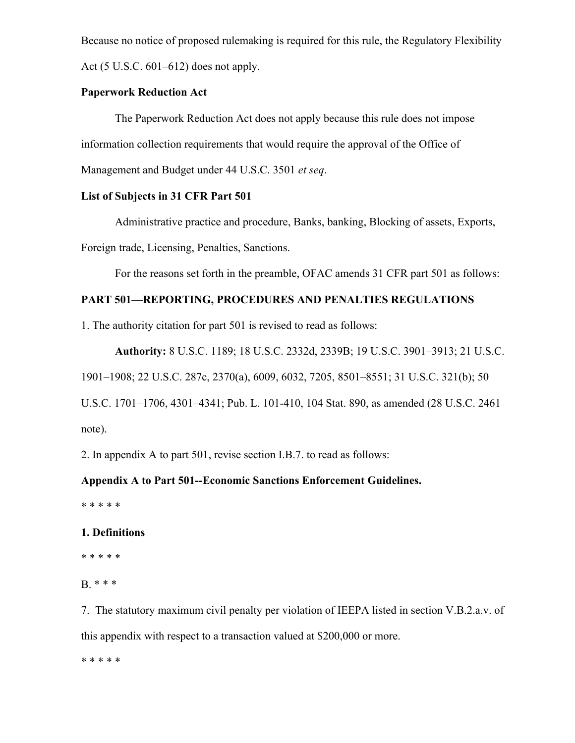Because no notice of proposed rulemaking is required for this rule, the Regulatory Flexibility Act (5 U.S.C. 601–612) does not apply.

## **Paperwork Reduction Act**

The Paperwork Reduction Act does not apply because this rule does not impose information collection requirements that would require the approval of the Office of Management and Budget under 44 U.S.C. 3501 *et seq*.

## **List of Subjects in 31 CFR Part 501**

Administrative practice and procedure, Banks, banking, Blocking of assets, Exports, Foreign trade, Licensing, Penalties, Sanctions.

For the reasons set forth in the preamble, OFAC amends 31 CFR part 501 as follows:

## **PART 501—REPORTING, PROCEDURES AND PENALTIES REGULATIONS**

1. The authority citation for part 501 is revised to read as follows:

**Authority:** 8 U.S.C. 1189; 18 U.S.C. 2332d, 2339B; 19 U.S.C. 3901–3913; 21 U.S.C.

1901–1908; 22 U.S.C. 287c, 2370(a), 6009, 6032, 7205, 8501–8551; 31 U.S.C. 321(b); 50

U.S.C. 1701–1706, 4301–4341; Pub. L. 101-410, 104 Stat. 890, as amended (28 U.S.C. 2461 note).

2. In appendix A to part 501, revise section I.B.7. to read as follows:

## **Appendix A to Part 501--Economic Sanctions Enforcement Guidelines.**

\* \* \* \* \*

## **1. Definitions**

\* \* \* \* \*

B. \* \* \*

7. The statutory maximum civil penalty per violation of IEEPA listed in section V.B.2.a.v. of this appendix with respect to a transaction valued at \$200,000 or more.

\* \* \* \* \*